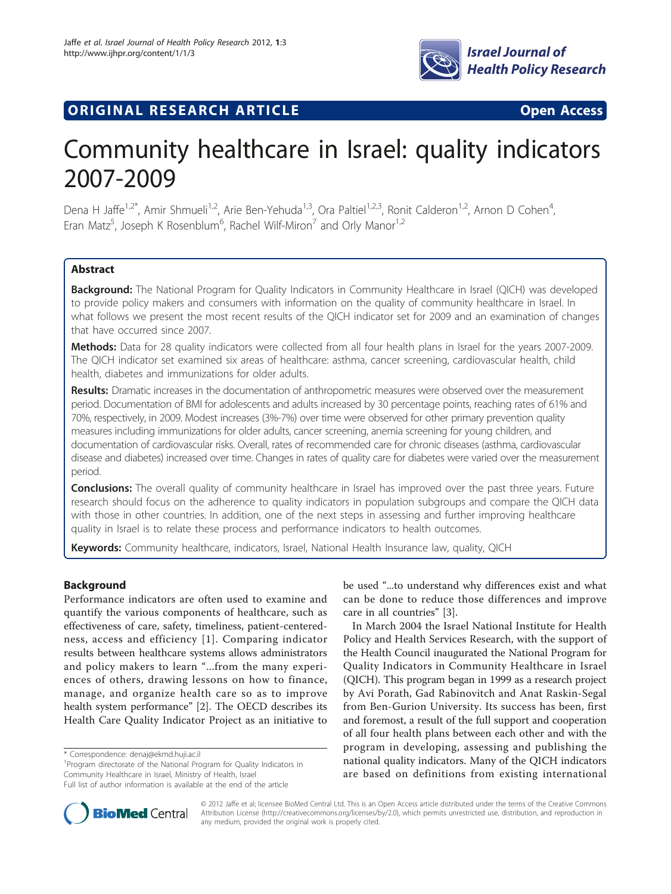

### ORIGINAL RESEARCH ARTICLE **External in the Second Access**

## Community healthcare in Israel: quality indicators 2007-2009

Dena H Jaffe<sup>1,2\*</sup>, Amir Shmueli<sup>1,2</sup>, Arie Ben-Yehuda<sup>1,3</sup>, Ora Paltiel<sup>1,2,3</sup>, Ronit Calderon<sup>1,2</sup>, Arnon D Cohen<sup>4</sup>, , Eran Matz<sup>5</sup>, Joseph K Rosenblum<sup>6</sup>, Rachel Wilf-Miron<sup>7</sup> and Orly Manor<sup>1,2</sup>

#### Abstract

Background: The National Program for Quality Indicators in Community Healthcare in Israel (QICH) was developed to provide policy makers and consumers with information on the quality of community healthcare in Israel. In what follows we present the most recent results of the QICH indicator set for 2009 and an examination of changes that have occurred since 2007.

Methods: Data for 28 quality indicators were collected from all four health plans in Israel for the years 2007-2009. The QICH indicator set examined six areas of healthcare: asthma, cancer screening, cardiovascular health, child health, diabetes and immunizations for older adults.

Results: Dramatic increases in the documentation of anthropometric measures were observed over the measurement period. Documentation of BMI for adolescents and adults increased by 30 percentage points, reaching rates of 61% and 70%, respectively, in 2009. Modest increases (3%-7%) over time were observed for other primary prevention quality measures including immunizations for older adults, cancer screening, anemia screening for young children, and documentation of cardiovascular risks. Overall, rates of recommended care for chronic diseases (asthma, cardiovascular disease and diabetes) increased over time. Changes in rates of quality care for diabetes were varied over the measurement period.

Conclusions: The overall quality of community healthcare in Israel has improved over the past three years. Future research should focus on the adherence to quality indicators in population subgroups and compare the QICH data with those in other countries. In addition, one of the next steps in assessing and further improving healthcare quality in Israel is to relate these process and performance indicators to health outcomes.

Keywords: Community healthcare, indicators, Israel, National Health Insurance law, quality, QICH

#### Background

Performance indicators are often used to examine and quantify the various components of healthcare, such as effectiveness of care, safety, timeliness, patient-centeredness, access and efficiency [[1\]](#page-9-0). Comparing indicator results between healthcare systems allows administrators and policy makers to learn "...from the many experiences of others, drawing lessons on how to finance, manage, and organize health care so as to improve health system performance" [\[2](#page-9-0)]. The OECD describes its Health Care Quality Indicator Project as an initiative to

\* Correspondence: [denaj@ekmd.huji.ac.il](mailto:denaj@ekmd.huji.ac.il)

<sup>1</sup> Program directorate of the National Program for Quality Indicators in Community Healthcare in Israel, Ministry of Health, Israel

be used "...to understand why differences exist and what can be done to reduce those differences and improve care in all countries" [\[3](#page-9-0)].

In March 2004 the Israel National Institute for Health Policy and Health Services Research, with the support of the Health Council inaugurated the National Program for Quality Indicators in Community Healthcare in Israel (QICH). This program began in 1999 as a research project by Avi Porath, Gad Rabinovitch and Anat Raskin-Segal from Ben-Gurion University. Its success has been, first and foremost, a result of the full support and cooperation of all four health plans between each other and with the program in developing, assessing and publishing the national quality indicators. Many of the QICH indicators are based on definitions from existing international



© 2012 Jaffe et al; licensee BioMed Central Ltd. This is an Open Access article distributed under the terms of the Creative Commons Attribution License [\(http://creativecommons.org/licenses/by/2.0](http://creativecommons.org/licenses/by/2.0)), which permits unrestricted use, distribution, and reproduction in any medium, provided the original work is properly cited.

Full list of author information is available at the end of the article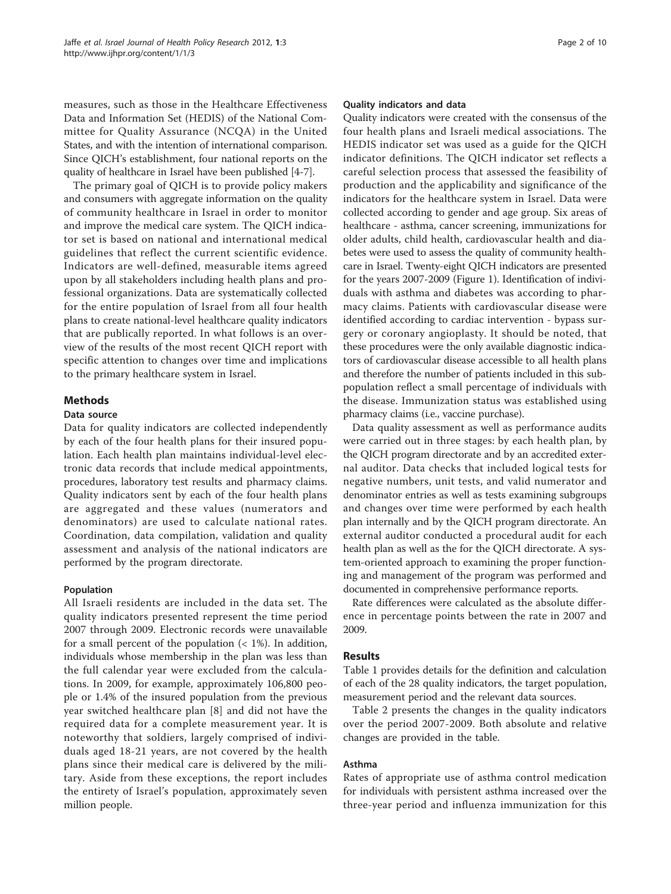measures, such as those in the Healthcare Effectiveness Data and Information Set (HEDIS) of the National Committee for Quality Assurance (NCQA) in the United States, and with the intention of international comparison. Since QICH's establishment, four national reports on the quality of healthcare in Israel have been published [\[4](#page-9-0)-[7](#page-9-0)].

The primary goal of QICH is to provide policy makers and consumers with aggregate information on the quality of community healthcare in Israel in order to monitor and improve the medical care system. The QICH indicator set is based on national and international medical guidelines that reflect the current scientific evidence. Indicators are well-defined, measurable items agreed upon by all stakeholders including health plans and professional organizations. Data are systematically collected for the entire population of Israel from all four health plans to create national-level healthcare quality indicators that are publically reported. In what follows is an overview of the results of the most recent QICH report with specific attention to changes over time and implications to the primary healthcare system in Israel.

#### Methods

#### Data source

Data for quality indicators are collected independently by each of the four health plans for their insured population. Each health plan maintains individual-level electronic data records that include medical appointments, procedures, laboratory test results and pharmacy claims. Quality indicators sent by each of the four health plans are aggregated and these values (numerators and denominators) are used to calculate national rates. Coordination, data compilation, validation and quality assessment and analysis of the national indicators are performed by the program directorate.

#### Population

All Israeli residents are included in the data set. The quality indicators presented represent the time period 2007 through 2009. Electronic records were unavailable for a small percent of the population  $\left($  < 1%). In addition, individuals whose membership in the plan was less than the full calendar year were excluded from the calculations. In 2009, for example, approximately 106,800 people or 1.4% of the insured population from the previous year switched healthcare plan [[8\]](#page-9-0) and did not have the required data for a complete measurement year. It is noteworthy that soldiers, largely comprised of individuals aged 18-21 years, are not covered by the health plans since their medical care is delivered by the military. Aside from these exceptions, the report includes the entirety of Israel's population, approximately seven million people.

#### Quality indicators and data

Quality indicators were created with the consensus of the four health plans and Israeli medical associations. The HEDIS indicator set was used as a guide for the QICH indicator definitions. The QICH indicator set reflects a careful selection process that assessed the feasibility of production and the applicability and significance of the indicators for the healthcare system in Israel. Data were collected according to gender and age group. Six areas of healthcare - asthma, cancer screening, immunizations for older adults, child health, cardiovascular health and diabetes were used to assess the quality of community healthcare in Israel. Twenty-eight QICH indicators are presented for the years 2007-2009 (Figure [1](#page-2-0)). Identification of individuals with asthma and diabetes was according to pharmacy claims. Patients with cardiovascular disease were identified according to cardiac intervention - bypass surgery or coronary angioplasty. It should be noted, that these procedures were the only available diagnostic indicators of cardiovascular disease accessible to all health plans and therefore the number of patients included in this subpopulation reflect a small percentage of individuals with the disease. Immunization status was established using pharmacy claims (i.e., vaccine purchase).

Data quality assessment as well as performance audits were carried out in three stages: by each health plan, by the QICH program directorate and by an accredited external auditor. Data checks that included logical tests for negative numbers, unit tests, and valid numerator and denominator entries as well as tests examining subgroups and changes over time were performed by each health plan internally and by the QICH program directorate. An external auditor conducted a procedural audit for each health plan as well as the for the QICH directorate. A system-oriented approach to examining the proper functioning and management of the program was performed and documented in comprehensive performance reports.

Rate differences were calculated as the absolute difference in percentage points between the rate in 2007 and 2009.

#### Results

Table [1](#page-3-0) provides details for the definition and calculation of each of the 28 quality indicators, the target population, measurement period and the relevant data sources.

Table [2](#page-5-0) presents the changes in the quality indicators over the period 2007-2009. Both absolute and relative changes are provided in the table.

#### Asthma

Rates of appropriate use of asthma control medication for individuals with persistent asthma increased over the three-year period and influenza immunization for this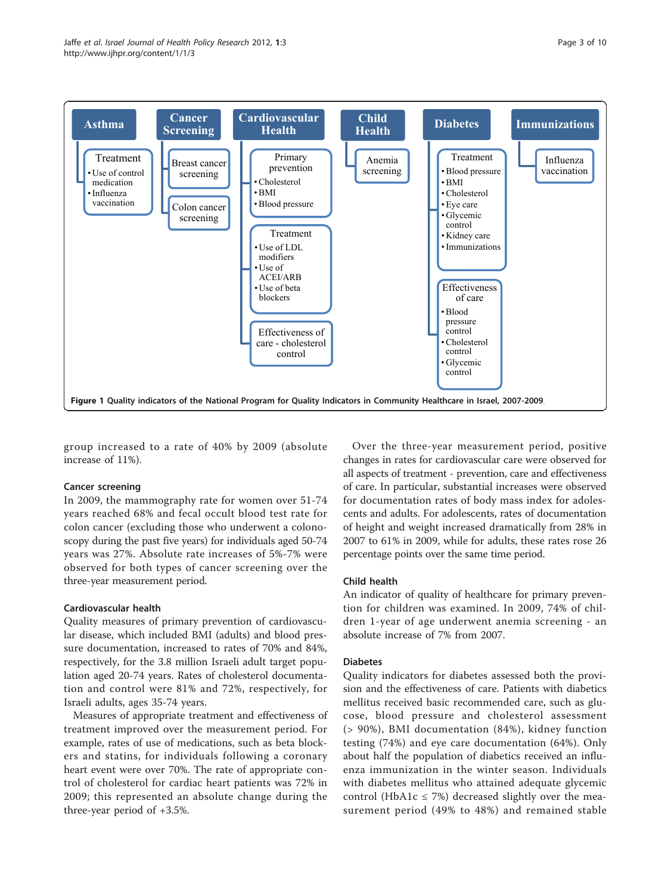<span id="page-2-0"></span>

group increased to a rate of 40% by 2009 (absolute increase of 11%).

#### Cancer screening

In 2009, the mammography rate for women over 51-74 years reached 68% and fecal occult blood test rate for colon cancer (excluding those who underwent a colonoscopy during the past five years) for individuals aged 50-74 years was 27%. Absolute rate increases of 5%-7% were observed for both types of cancer screening over the three-year measurement period.

#### Cardiovascular health

Quality measures of primary prevention of cardiovascular disease, which included BMI (adults) and blood pressure documentation, increased to rates of 70% and 84%, respectively, for the 3.8 million Israeli adult target population aged 20-74 years. Rates of cholesterol documentation and control were 81% and 72%, respectively, for Israeli adults, ages 35-74 years.

Measures of appropriate treatment and effectiveness of treatment improved over the measurement period. For example, rates of use of medications, such as beta blockers and statins, for individuals following a coronary heart event were over 70%. The rate of appropriate control of cholesterol for cardiac heart patients was 72% in 2009; this represented an absolute change during the three-year period of +3.5%.

Over the three-year measurement period, positive changes in rates for cardiovascular care were observed for all aspects of treatment - prevention, care and effectiveness of care. In particular, substantial increases were observed for documentation rates of body mass index for adolescents and adults. For adolescents, rates of documentation of height and weight increased dramatically from 28% in 2007 to 61% in 2009, while for adults, these rates rose 26 percentage points over the same time period.

#### Child health

An indicator of quality of healthcare for primary prevention for children was examined. In 2009, 74% of children 1-year of age underwent anemia screening - an absolute increase of 7% from 2007.

#### Diabetes

Quality indicators for diabetes assessed both the provision and the effectiveness of care. Patients with diabetics mellitus received basic recommended care, such as glucose, blood pressure and cholesterol assessment (> 90%), BMI documentation (84%), kidney function testing (74%) and eye care documentation (64%). Only about half the population of diabetics received an influenza immunization in the winter season. Individuals with diabetes mellitus who attained adequate glycemic control (HbA1c  $\leq$  7%) decreased slightly over the measurement period (49% to 48%) and remained stable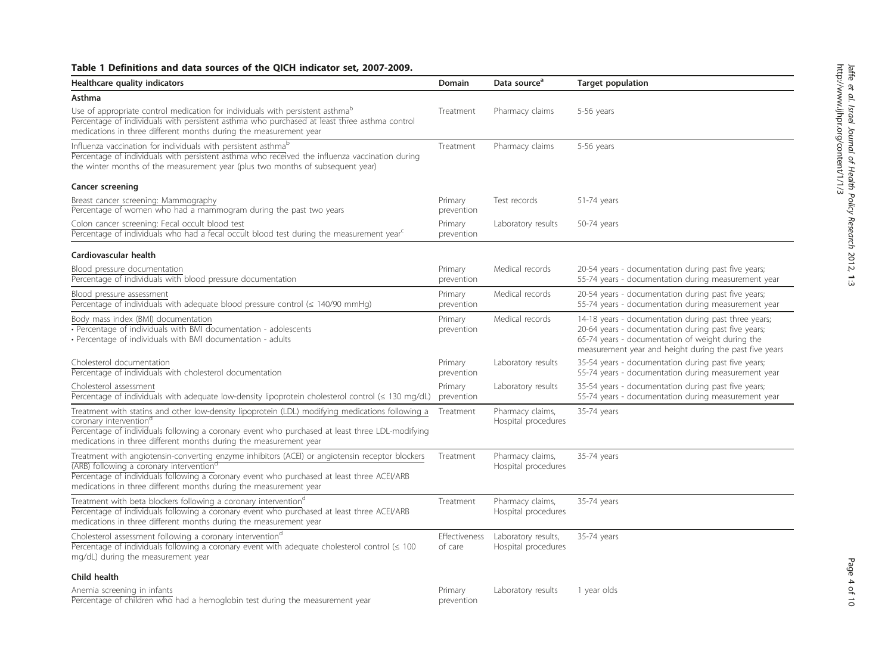# Jaffe et al. Israel Journal of Health Policy Research 2012, 1:3 http://www.ijhpr.org/content/1/1/3

#### <span id="page-3-0"></span>Table 1 Definitions and data sources of the QICH indicator set, 2007-2009.

| Healthcare quality indicators                                                                                                                                                                                                                                                                                              | Domain                   | Data source <sup>a</sup>                   | <b>Target population</b>                                                                                                                                                                                                  |  |  |  |
|----------------------------------------------------------------------------------------------------------------------------------------------------------------------------------------------------------------------------------------------------------------------------------------------------------------------------|--------------------------|--------------------------------------------|---------------------------------------------------------------------------------------------------------------------------------------------------------------------------------------------------------------------------|--|--|--|
| Asthma                                                                                                                                                                                                                                                                                                                     |                          |                                            |                                                                                                                                                                                                                           |  |  |  |
| Use of appropriate control medication for individuals with persistent asthma <sup>b</sup><br>Percentage of individuals with persistent asthma who purchased at least three asthma control<br>medications in three different months during the measurement year                                                             | Treatment                | Pharmacy claims                            | 5-56 years                                                                                                                                                                                                                |  |  |  |
| Influenza vaccination for individuals with persistent asthma <sup>b</sup><br>Percentage of individuals with persistent asthma who received the influenza vaccination during<br>the winter months of the measurement year (plus two months of subsequent year)                                                              | Treatment                | Pharmacy claims                            | 5-56 years                                                                                                                                                                                                                |  |  |  |
| <b>Cancer screening</b>                                                                                                                                                                                                                                                                                                    |                          |                                            |                                                                                                                                                                                                                           |  |  |  |
| Breast cancer screening: Mammography<br>Percentage of women who had a mammogram during the past two years                                                                                                                                                                                                                  | Primary<br>prevention    | Test records                               | 51-74 years                                                                                                                                                                                                               |  |  |  |
| Colon cancer screening: Fecal occult blood test<br>Percentage of individuals who had a fecal occult blood test during the measurement year <sup>c</sup>                                                                                                                                                                    | Primary<br>prevention    | Laboratory results                         | 50-74 years                                                                                                                                                                                                               |  |  |  |
| Cardiovascular health                                                                                                                                                                                                                                                                                                      |                          |                                            |                                                                                                                                                                                                                           |  |  |  |
| Blood pressure documentation<br>Percentage of individuals with blood pressure documentation                                                                                                                                                                                                                                | Primary<br>prevention    | Medical records                            | 20-54 years - documentation during past five years;<br>55-74 years - documentation during measurement year                                                                                                                |  |  |  |
| Blood pressure assessment<br>Percentage of individuals with adequate blood pressure control ( $\leq$ 140/90 mmHg)                                                                                                                                                                                                          | Primary<br>prevention    | Medical records                            | 20-54 years - documentation during past five years;<br>55-74 years - documentation during measurement year                                                                                                                |  |  |  |
| Body mass index (BMI) documentation<br>• Percentage of individuals with BMI documentation - adolescents<br>· Percentage of individuals with BMI documentation - adults                                                                                                                                                     | Primary<br>prevention    | Medical records                            | 14-18 years - documentation during past three years;<br>20-64 years - documentation during past five years;<br>65-74 years - documentation of weight during the<br>measurement year and height during the past five years |  |  |  |
| Cholesterol documentation<br>Percentage of individuals with cholesterol documentation                                                                                                                                                                                                                                      | Primary<br>prevention    | Laboratory results                         | 35-54 years - documentation during past five years;<br>55-74 years - documentation during measurement year                                                                                                                |  |  |  |
| Cholesterol assessment<br>Percentage of individuals with adequate low-density lipoprotein cholesterol control ( $\leq$ 130 mg/dL)                                                                                                                                                                                          | Primary<br>prevention    | Laboratory results                         | 35-54 years - documentation during past five years;<br>55-74 years - documentation during measurement year                                                                                                                |  |  |  |
| Treatment with statins and other low-density lipoprotein (LDL) modifying medications following a<br>coronary intervention <sup>6</sup><br>Percentage of individuals following a coronary event who purchased at least three LDL-modifying<br>medications in three different months during the measurement year             | Treatment                | Pharmacy claims,<br>Hospital procedures    | 35-74 years                                                                                                                                                                                                               |  |  |  |
| Treatment with angiotensin-converting enzyme inhibitors (ACEI) or angiotensin receptor blockers<br>(ARB) following a coronary intervention <sup>d</sup><br>Percentage of individuals following a coronary event who purchased at least three ACEI/ARB<br>medications in three different months during the measurement year | Treatment                | Pharmacy claims,<br>Hospital procedures    | 35-74 years                                                                                                                                                                                                               |  |  |  |
| Treatment with beta blockers following a coronary intervention <sup>d</sup><br>Percentage of individuals following a coronary event who purchased at least three ACEI/ARB<br>medications in three different months during the measurement year                                                                             | Treatment                | Pharmacy claims,<br>Hospital procedures    | 35-74 years                                                                                                                                                                                                               |  |  |  |
| Cholesterol assessment following a coronary intervention <sup>d</sup><br>Percentage of individuals following a coronary event with adequate cholesterol control ( $\leq 100$<br>mg/dL) during the measurement year                                                                                                         | Effectiveness<br>of care | Laboratory results,<br>Hospital procedures | 35-74 years                                                                                                                                                                                                               |  |  |  |
| <b>Child health</b>                                                                                                                                                                                                                                                                                                        |                          |                                            |                                                                                                                                                                                                                           |  |  |  |
| Anemia screening in infants<br>Percentage of children who had a hemoglobin test during the measurement year                                                                                                                                                                                                                | Primary<br>prevention    | Laboratory results                         | 1 year olds                                                                                                                                                                                                               |  |  |  |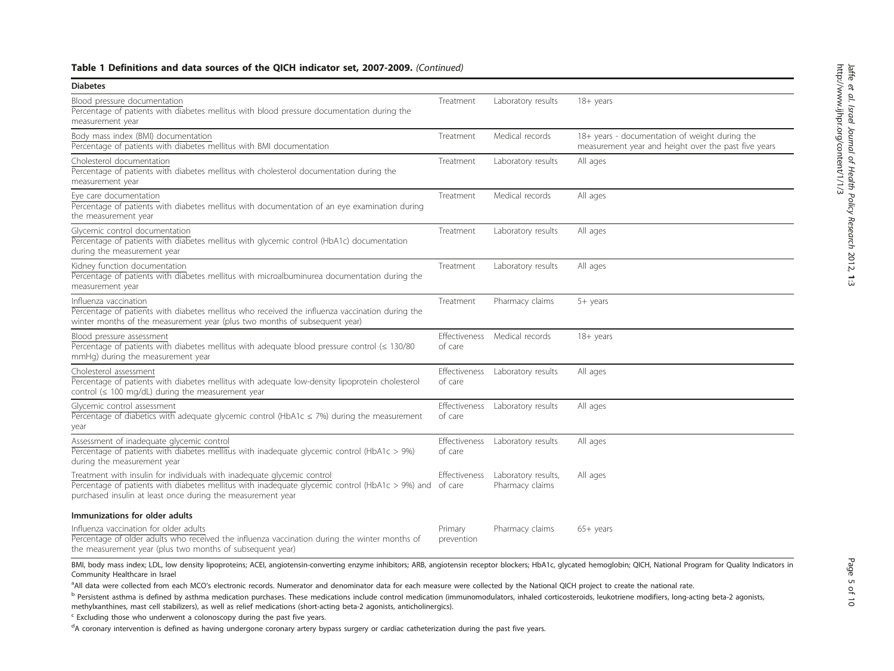#### Table 1 Definitions and data sources of the QICH indicator set, 2007-2009. (Continued)

| <b>Diabetes</b>                                                                                                                                                                                                                                   |                          |                                        |                                                                                                        |
|---------------------------------------------------------------------------------------------------------------------------------------------------------------------------------------------------------------------------------------------------|--------------------------|----------------------------------------|--------------------------------------------------------------------------------------------------------|
| Blood pressure documentation<br>Percentage of patients with diabetes mellitus with blood pressure documentation during the<br>measurement year                                                                                                    | Treatment                | Laboratory results                     | $18 +$ years                                                                                           |
| Body mass index (BMI) documentation<br>Percentage of patients with diabetes mellitus with BMI documentation                                                                                                                                       | Treatment                | Medical records                        | 18+ years - documentation of weight during the<br>measurement year and height over the past five years |
| Cholesterol documentation<br>Percentage of patients with diabetes mellitus with cholesterol documentation during the<br>measurement year                                                                                                          | Treatment                | Laboratory results                     | All ages                                                                                               |
| Eye care documentation<br>Percentage of patients with diabetes mellitus with documentation of an eye examination during<br>the measurement year                                                                                                   | Treatment                | Medical records                        | All ages                                                                                               |
| Glycemic control documentation<br>Percentage of patients with diabetes mellitus with glycemic control (HbA1c) documentation<br>during the measurement year                                                                                        | Treatment                | Laboratory results                     | All ages                                                                                               |
| Kidney function documentation<br>Percentage of patients with diabetes mellitus with microalbuminurea documentation during the<br>measurement year                                                                                                 | Treatment                | Laboratory results                     | All ages                                                                                               |
| Influenza vaccination<br>Percentage of patients with diabetes mellitus who received the influenza vaccination during the<br>winter months of the measurement year (plus two months of subsequent year)                                            | Treatment                | Pharmacy claims                        | 5+ years                                                                                               |
| Blood pressure assessment<br>Percentage of patients with diabetes mellitus with adequate blood pressure control $\leq$ 130/80<br>mmHg) during the measurement year                                                                                | Effectiveness<br>of care | Medical records                        | $18 +$ years                                                                                           |
| Cholesterol assessment<br>Percentage of patients with diabetes mellitus with adequate low-density lipoprotein cholesterol<br>control ( $\leq$ 100 mg/dL) during the measurement year                                                              | Effectiveness<br>of care | Laboratory results                     | All ages                                                                                               |
| Glycemic control assessment<br>Percentage of diabetics with adequate glycemic control (HbA1c $\leq$ 7%) during the measurement<br>year                                                                                                            | Effectiveness<br>of care | Laboratory results                     | All ages                                                                                               |
| Assessment of inadequate glycemic control<br>Percentage of patients with diabetes mellitus with inadequate glycemic control (HbA1c > 9%)<br>during the measurement year                                                                           | Effectiveness<br>of care | Laboratory results                     | All ages                                                                                               |
| Treatment with insulin for individuals with inadequate glycemic control<br>Percentage of patients with diabetes mellitus with inadequate glycemic control (HbA1c > 9%) and of care<br>purchased insulin at least once during the measurement year | <b>Effectiveness</b>     | Laboratory results,<br>Pharmacy claims | All ages                                                                                               |
| Immunizations for older adults                                                                                                                                                                                                                    |                          |                                        |                                                                                                        |
| Influenza vaccination for older adults<br>Percentage of older adults who received the influenza vaccination during the winter months of<br>the measurement year (plus two months of subsequent year)                                              | Primary<br>prevention    | Pharmacy claims                        | $65+$ years                                                                                            |

BMI, body mass index; LDL, low density lipoproteins; ACEI, angiotensin-converting enzyme inhibitors; ARB, angiotensin receptor blockers; HbA1c, glycated hemoglobin; OICH, National Program for Quality Indicators in Community Healthcare in Israel

<sup>a</sup>All data were collected from each MCO's electronic records. Numerator and denominator data for each measure were collected by the National QICH project to create the national rate.

<sup>b</sup> Persistent asthma is defined by asthma medication purchases. These medications include control medication (immunomodulators, inhaled corticosteroids, leukotriene modifiers, long-acting beta-2 agonists, methylxanthines, mast cell stabilizers), as well as relief medications (short-acting beta-2 agonists, anticholinergics).

<sup>c</sup> Excluding those who underwent a colonoscopy during the past five years.

<sup>d</sup>A coronary intervention is defined as having undergone coronary artery bypass surgery or cardiac catheterization during the past five years.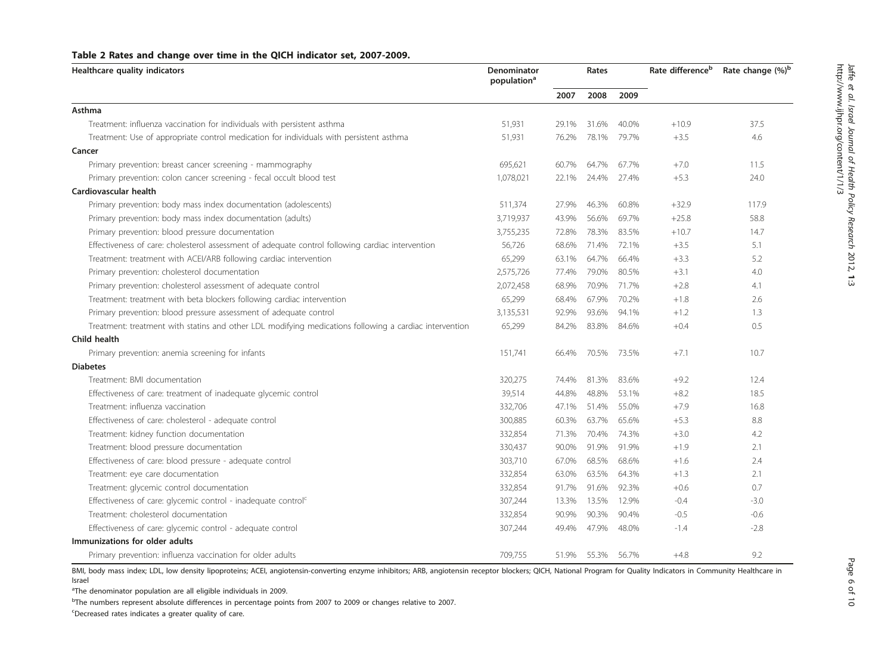#### <span id="page-5-0"></span>Table 2 Rates and change over time in the QICH indicator set, 2007-2009.

| Healthcare quality indicators                                                                          | <b>Denominator</b><br>population <sup>a</sup> | Rates |       |       | Rate difference <sup>b</sup> | Rate change (%) <sup>b</sup> |
|--------------------------------------------------------------------------------------------------------|-----------------------------------------------|-------|-------|-------|------------------------------|------------------------------|
|                                                                                                        |                                               | 2007  | 2008  | 2009  |                              |                              |
| Asthma                                                                                                 |                                               |       |       |       |                              |                              |
| Treatment: influenza vaccination for individuals with persistent asthma                                | 51,931                                        | 29.1% | 31.6% | 40.0% | $+10.9$                      | 37.5                         |
| Treatment: Use of appropriate control medication for individuals with persistent asthma                | 51,931                                        | 76.2% | 78.1% | 79.7% | $+3.5$                       | 4.6                          |
| Cancer                                                                                                 |                                               |       |       |       |                              |                              |
| Primary prevention: breast cancer screening - mammography                                              | 695,621                                       | 60.7% | 64.7% | 67.7% | $+7.0$                       | 11.5                         |
| Primary prevention: colon cancer screening - fecal occult blood test                                   | 1,078,021                                     | 22.1% | 24.4% | 27.4% | $+5.3$                       | 24.0                         |
| Cardiovascular health                                                                                  |                                               |       |       |       |                              |                              |
| Primary prevention: body mass index documentation (adolescents)                                        | 511,374                                       | 27.9% | 46.3% | 60.8% | $+32.9$                      | 117.9                        |
| Primary prevention: body mass index documentation (adults)                                             | 3,719,937                                     | 43.9% | 56.6% | 69.7% | $+25.8$                      | 58.8                         |
| Primary prevention: blood pressure documentation                                                       | 3,755,235                                     | 72.8% | 78.3% | 83.5% | $+10.7$                      | 14.7                         |
| Effectiveness of care: cholesterol assessment of adequate control following cardiac intervention       | 56,726                                        | 68.6% | 71.4% | 72.1% | $+3.5$                       | 5.1                          |
| Treatment: treatment with ACEI/ARB following cardiac intervention                                      | 65,299                                        | 63.1% | 64.7% | 66.4% | $+3.3$                       | 5.2                          |
| Primary prevention: cholesterol documentation                                                          | 2,575,726                                     | 77.4% | 79.0% | 80.5% | $+3.1$                       | 4.0                          |
| Primary prevention: cholesterol assessment of adequate control                                         | 2,072,458                                     | 68.9% | 70.9% | 71.7% | $+2.8$                       | 4.1                          |
| Treatment: treatment with beta blockers following cardiac intervention                                 | 65,299                                        | 68.4% | 67.9% | 70.2% | $+1.8$                       | 2.6                          |
| Primary prevention: blood pressure assessment of adequate control                                      | 3,135,531                                     | 92.9% | 93.6% | 94.1% | $+1.2$                       | 1.3                          |
| Treatment: treatment with statins and other LDL modifying medications following a cardiac intervention | 65,299                                        | 84.2% | 83.8% | 84.6% | $+0.4$                       | 0.5                          |
| Child health                                                                                           |                                               |       |       |       |                              |                              |
| Primary prevention: anemia screening for infants                                                       | 151,741                                       | 66.4% | 70.5% | 73.5% | $+7.1$                       | 10.7                         |
| <b>Diabetes</b>                                                                                        |                                               |       |       |       |                              |                              |
| Treatment: BMI documentation                                                                           | 320,275                                       | 74.4% | 81.3% | 83.6% | $+9.2$                       | 12.4                         |
| Effectiveness of care: treatment of inadequate glycemic control                                        | 39,514                                        | 44.8% | 48.8% | 53.1% | $+8.2$                       | 18.5                         |
| Treatment: influenza vaccination                                                                       | 332,706                                       | 47.1% | 51.4% | 55.0% | $+7.9$                       | 16.8                         |
| Effectiveness of care: cholesterol - adequate control                                                  | 300,885                                       | 60.3% | 63.7% | 65.6% | $+5.3$                       | 8.8                          |
| Treatment: kidney function documentation                                                               | 332,854                                       | 71.3% | 70.4% | 74.3% | $+3.0$                       | 4.2                          |
| Treatment: blood pressure documentation                                                                | 330,437                                       | 90.0% | 91.9% | 91.9% | $+1.9$                       | 2.1                          |
| Effectiveness of care: blood pressure - adequate control                                               | 303,710                                       | 67.0% | 68.5% | 68.6% | $+1.6$                       | 2.4                          |
| Treatment: eye care documentation                                                                      | 332,854                                       | 63.0% | 63.5% | 64.3% | $+1.3$                       | 2.1                          |
| Treatment: glycemic control documentation                                                              | 332,854                                       | 91.7% | 91.6% | 92.3% | $+0.6$                       | 0.7                          |
| Effectiveness of care: glycemic control - inadequate control <sup>c</sup>                              | 307,244                                       | 13.3% | 13.5% | 12.9% | $-0.4$                       | $-3.0$                       |
| Treatment: cholesterol documentation                                                                   | 332,854                                       | 90.9% | 90.3% | 90.4% | $-0.5$                       | $-0.6$                       |
| Effectiveness of care: glycemic control - adequate control                                             | 307,244                                       | 49.4% | 47.9% | 48.0% | $-1.4$                       | $-2.8$                       |
| Immunizations for older adults                                                                         |                                               |       |       |       |                              |                              |
| Primary prevention: influenza vaccination for older adults                                             | 709,755                                       | 51.9% | 55.3% | 56.7% | $+4.8$                       | 9.2                          |

BMI, body mass index; LDL, low density lipoproteins; ACEI, angiotensin-converting enzyme inhibitors; ARB, angiotensin receptor blockers; QICH, National Program for Quality Indicators in Community Healthcare in Israel

<sup>a</sup>The denominator population are all eligible individuals in 2009.

b The numbers represent absolute differences in percentage points from 2007 to 2009 or changes relative to 2007.

<sup>c</sup>Decreased rates indicates a greater quality of care.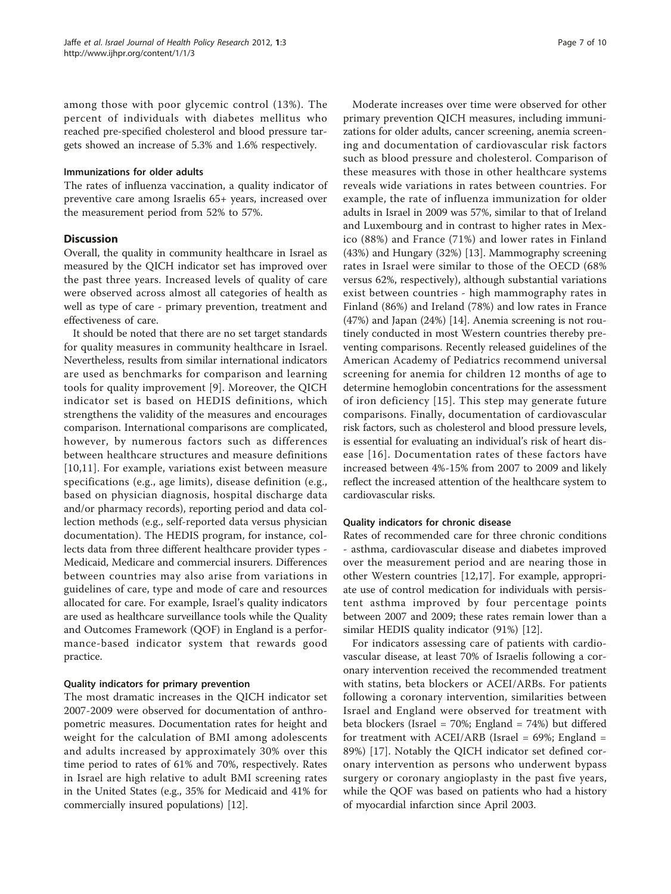among those with poor glycemic control (13%). The percent of individuals with diabetes mellitus who reached pre-specified cholesterol and blood pressure targets showed an increase of 5.3% and 1.6% respectively.

#### Immunizations for older adults

The rates of influenza vaccination, a quality indicator of preventive care among Israelis 65+ years, increased over the measurement period from 52% to 57%.

#### **Discussion**

Overall, the quality in community healthcare in Israel as measured by the QICH indicator set has improved over the past three years. Increased levels of quality of care were observed across almost all categories of health as well as type of care - primary prevention, treatment and effectiveness of care.

It should be noted that there are no set target standards for quality measures in community healthcare in Israel. Nevertheless, results from similar international indicators are used as benchmarks for comparison and learning tools for quality improvement [[9](#page-9-0)]. Moreover, the QICH indicator set is based on HEDIS definitions, which strengthens the validity of the measures and encourages comparison. International comparisons are complicated, however, by numerous factors such as differences between healthcare structures and measure definitions [[10](#page-9-0),[11\]](#page-9-0). For example, variations exist between measure specifications (e.g., age limits), disease definition (e.g., based on physician diagnosis, hospital discharge data and/or pharmacy records), reporting period and data collection methods (e.g., self-reported data versus physician documentation). The HEDIS program, for instance, collects data from three different healthcare provider types - Medicaid, Medicare and commercial insurers. Differences between countries may also arise from variations in guidelines of care, type and mode of care and resources allocated for care. For example, Israel's quality indicators are used as healthcare surveillance tools while the Quality and Outcomes Framework (QOF) in England is a performance-based indicator system that rewards good practice.

#### Quality indicators for primary prevention

The most dramatic increases in the QICH indicator set 2007-2009 were observed for documentation of anthropometric measures. Documentation rates for height and weight for the calculation of BMI among adolescents and adults increased by approximately 30% over this time period to rates of 61% and 70%, respectively. Rates in Israel are high relative to adult BMI screening rates in the United States (e.g., 35% for Medicaid and 41% for commercially insured populations) [\[12\]](#page-9-0).

Moderate increases over time were observed for other primary prevention QICH measures, including immunizations for older adults, cancer screening, anemia screening and documentation of cardiovascular risk factors such as blood pressure and cholesterol. Comparison of these measures with those in other healthcare systems reveals wide variations in rates between countries. For example, the rate of influenza immunization for older adults in Israel in 2009 was 57%, similar to that of Ireland and Luxembourg and in contrast to higher rates in Mexico (88%) and France (71%) and lower rates in Finland (43%) and Hungary (32%) [[13\]](#page-9-0). Mammography screening rates in Israel were similar to those of the OECD (68% versus 62%, respectively), although substantial variations exist between countries - high mammography rates in Finland (86%) and Ireland (78%) and low rates in France (47%) and Japan (24%) [[14\]](#page-9-0). Anemia screening is not routinely conducted in most Western countries thereby preventing comparisons. Recently released guidelines of the American Academy of Pediatrics recommend universal screening for anemia for children 12 months of age to determine hemoglobin concentrations for the assessment of iron deficiency [[15](#page-9-0)]. This step may generate future comparisons. Finally, documentation of cardiovascular risk factors, such as cholesterol and blood pressure levels, is essential for evaluating an individual's risk of heart disease [[16\]](#page-9-0). Documentation rates of these factors have increased between 4%-15% from 2007 to 2009 and likely reflect the increased attention of the healthcare system to cardiovascular risks.

#### Quality indicators for chronic disease

Rates of recommended care for three chronic conditions - asthma, cardiovascular disease and diabetes improved over the measurement period and are nearing those in other Western countries [\[12](#page-9-0),[17](#page-9-0)]. For example, appropriate use of control medication for individuals with persistent asthma improved by four percentage points between 2007 and 2009; these rates remain lower than a similar HEDIS quality indicator (91%) [[12](#page-9-0)].

For indicators assessing care of patients with cardiovascular disease, at least 70% of Israelis following a coronary intervention received the recommended treatment with statins, beta blockers or ACEI/ARBs. For patients following a coronary intervention, similarities between Israel and England were observed for treatment with beta blockers (Israel = 70%; England = 74%) but differed for treatment with ACEI/ARB (Israel =  $69\%$ ; England = 89%) [[17\]](#page-9-0). Notably the QICH indicator set defined coronary intervention as persons who underwent bypass surgery or coronary angioplasty in the past five years, while the QOF was based on patients who had a history of myocardial infarction since April 2003.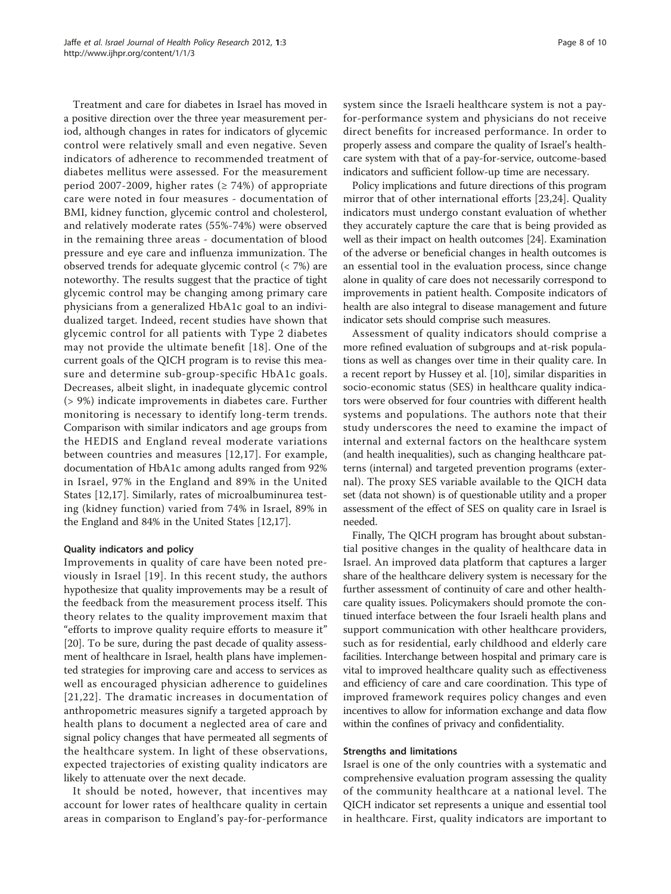Treatment and care for diabetes in Israel has moved in a positive direction over the three year measurement period, although changes in rates for indicators of glycemic control were relatively small and even negative. Seven indicators of adherence to recommended treatment of diabetes mellitus were assessed. For the measurement period 2007-2009, higher rates ( $\geq$  74%) of appropriate care were noted in four measures - documentation of BMI, kidney function, glycemic control and cholesterol, and relatively moderate rates (55%-74%) were observed in the remaining three areas - documentation of blood pressure and eye care and influenza immunization. The observed trends for adequate glycemic control (< 7%) are noteworthy. The results suggest that the practice of tight glycemic control may be changing among primary care physicians from a generalized HbA1c goal to an individualized target. Indeed, recent studies have shown that glycemic control for all patients with Type 2 diabetes may not provide the ultimate benefit [[18\]](#page-9-0). One of the current goals of the QICH program is to revise this measure and determine sub-group-specific HbA1c goals. Decreases, albeit slight, in inadequate glycemic control (> 9%) indicate improvements in diabetes care. Further monitoring is necessary to identify long-term trends. Comparison with similar indicators and age groups from the HEDIS and England reveal moderate variations between countries and measures [\[12,17](#page-9-0)]. For example, documentation of HbA1c among adults ranged from 92% in Israel, 97% in the England and 89% in the United States [\[12,17](#page-9-0)]. Similarly, rates of microalbuminurea testing (kidney function) varied from 74% in Israel, 89% in the England and 84% in the United States [\[12,17](#page-9-0)].

#### Quality indicators and policy

Improvements in quality of care have been noted previously in Israel [[19](#page-9-0)]. In this recent study, the authors hypothesize that quality improvements may be a result of the feedback from the measurement process itself. This theory relates to the quality improvement maxim that "efforts to improve quality require efforts to measure it" [[20\]](#page-9-0). To be sure, during the past decade of quality assessment of healthcare in Israel, health plans have implemented strategies for improving care and access to services as well as encouraged physician adherence to guidelines [[21,22](#page-9-0)]. The dramatic increases in documentation of anthropometric measures signify a targeted approach by health plans to document a neglected area of care and signal policy changes that have permeated all segments of the healthcare system. In light of these observations, expected trajectories of existing quality indicators are likely to attenuate over the next decade.

It should be noted, however, that incentives may account for lower rates of healthcare quality in certain areas in comparison to England's pay-for-performance system since the Israeli healthcare system is not a payfor-performance system and physicians do not receive direct benefits for increased performance. In order to properly assess and compare the quality of Israel's healthcare system with that of a pay-for-service, outcome-based indicators and sufficient follow-up time are necessary.

Policy implications and future directions of this program mirror that of other international efforts [[23,24\]](#page-9-0). Quality indicators must undergo constant evaluation of whether they accurately capture the care that is being provided as well as their impact on health outcomes [[24](#page-9-0)]. Examination of the adverse or beneficial changes in health outcomes is an essential tool in the evaluation process, since change alone in quality of care does not necessarily correspond to improvements in patient health. Composite indicators of health are also integral to disease management and future indicator sets should comprise such measures.

Assessment of quality indicators should comprise a more refined evaluation of subgroups and at-risk populations as well as changes over time in their quality care. In a recent report by Hussey et al. [\[10\]](#page-9-0), similar disparities in socio-economic status (SES) in healthcare quality indicators were observed for four countries with different health systems and populations. The authors note that their study underscores the need to examine the impact of internal and external factors on the healthcare system (and health inequalities), such as changing healthcare patterns (internal) and targeted prevention programs (external). The proxy SES variable available to the QICH data set (data not shown) is of questionable utility and a proper assessment of the effect of SES on quality care in Israel is needed.

Finally, The QICH program has brought about substantial positive changes in the quality of healthcare data in Israel. An improved data platform that captures a larger share of the healthcare delivery system is necessary for the further assessment of continuity of care and other healthcare quality issues. Policymakers should promote the continued interface between the four Israeli health plans and support communication with other healthcare providers, such as for residential, early childhood and elderly care facilities. Interchange between hospital and primary care is vital to improved healthcare quality such as effectiveness and efficiency of care and care coordination. This type of improved framework requires policy changes and even incentives to allow for information exchange and data flow within the confines of privacy and confidentiality.

#### Strengths and limitations

Israel is one of the only countries with a systematic and comprehensive evaluation program assessing the quality of the community healthcare at a national level. The QICH indicator set represents a unique and essential tool in healthcare. First, quality indicators are important to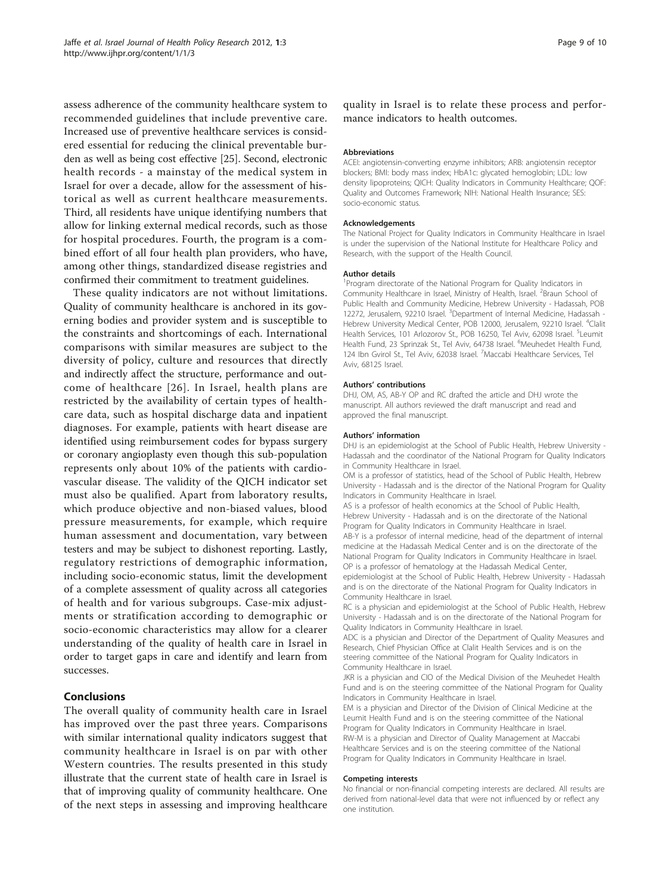assess adherence of the community healthcare system to recommended guidelines that include preventive care. Increased use of preventive healthcare services is considered essential for reducing the clinical preventable burden as well as being cost effective [[25](#page-9-0)]. Second, electronic health records - a mainstay of the medical system in Israel for over a decade, allow for the assessment of historical as well as current healthcare measurements. Third, all residents have unique identifying numbers that allow for linking external medical records, such as those for hospital procedures. Fourth, the program is a combined effort of all four health plan providers, who have, among other things, standardized disease registries and confirmed their commitment to treatment guidelines.

These quality indicators are not without limitations. Quality of community healthcare is anchored in its governing bodies and provider system and is susceptible to the constraints and shortcomings of each. International comparisons with similar measures are subject to the diversity of policy, culture and resources that directly and indirectly affect the structure, performance and outcome of healthcare [[26](#page-9-0)]. In Israel, health plans are restricted by the availability of certain types of healthcare data, such as hospital discharge data and inpatient diagnoses. For example, patients with heart disease are identified using reimbursement codes for bypass surgery or coronary angioplasty even though this sub-population represents only about 10% of the patients with cardiovascular disease. The validity of the QICH indicator set must also be qualified. Apart from laboratory results, which produce objective and non-biased values, blood pressure measurements, for example, which require human assessment and documentation, vary between testers and may be subject to dishonest reporting. Lastly, regulatory restrictions of demographic information, including socio-economic status, limit the development of a complete assessment of quality across all categories of health and for various subgroups. Case-mix adjustments or stratification according to demographic or socio-economic characteristics may allow for a clearer understanding of the quality of health care in Israel in order to target gaps in care and identify and learn from successes.

#### Conclusions

The overall quality of community health care in Israel has improved over the past three years. Comparisons with similar international quality indicators suggest that community healthcare in Israel is on par with other Western countries. The results presented in this study illustrate that the current state of health care in Israel is that of improving quality of community healthcare. One of the next steps in assessing and improving healthcare

quality in Israel is to relate these process and performance indicators to health outcomes.

#### Abbreviations

ACEI: angiotensin-converting enzyme inhibitors; ARB: angiotensin receptor blockers; BMI: body mass index; HbA1c: glycated hemoglobin; LDL: low density lipoproteins; QICH: Quality Indicators in Community Healthcare; QOF: Quality and Outcomes Framework; NIH: National Health Insurance; SES: socio-economic status.

#### Acknowledgements

The National Project for Quality Indicators in Community Healthcare in Israel is under the supervision of the National Institute for Healthcare Policy and Research, with the support of the Health Council.

#### Author details

<sup>1</sup> Program directorate of the National Program for Quality Indicators in Community Healthcare in Israel, Ministry of Health, Israel. <sup>2</sup>Braun School of Public Health and Community Medicine, Hebrew University - Hadassah, POB 12272, Jerusalem, 92210 Israel. <sup>3</sup>Department of Internal Medicine, Hadassah -Hebrew University Medical Center, POB 12000, Jerusalem, 92210 Israel. <sup>4</sup>Clalit Health Services, 101 Arlozorov St., POB 16250, Tel Aviv, 62098 Israel. <sup>5</sup>Leumit Health Fund, 23 Sprinzak St., Tel Aviv, 64738 Israel. <sup>6</sup>Meuhedet Health Fund 124 Ibn Gvirol St., Tel Aviv, 62038 Israel. <sup>7</sup>Maccabi Healthcare Services, Tel Aviv, 68125 Israel.

#### Authors' contributions

DHJ, OM, AS, AB-Y OP and RC drafted the article and DHJ wrote the manuscript. All authors reviewed the draft manuscript and read and approved the final manuscript.

#### Authors' information

DHJ is an epidemiologist at the School of Public Health, Hebrew University - Hadassah and the coordinator of the National Program for Quality Indicators in Community Healthcare in Israel.

OM is a professor of statistics, head of the School of Public Health, Hebrew University - Hadassah and is the director of the National Program for Quality Indicators in Community Healthcare in Israel.

AS is a professor of health economics at the School of Public Health, Hebrew University - Hadassah and is on the directorate of the National Program for Quality Indicators in Community Healthcare in Israel. AB-Y is a professor of internal medicine, head of the department of internal medicine at the Hadassah Medical Center and is on the directorate of the National Program for Quality Indicators in Community Healthcare in Israel. OP is a professor of hematology at the Hadassah Medical Center, epidemiologist at the School of Public Health, Hebrew University - Hadassah and is on the directorate of the National Program for Quality Indicators in

Community Healthcare in Israel. RC is a physician and epidemiologist at the School of Public Health, Hebrew University - Hadassah and is on the directorate of the National Program for Quality Indicators in Community Healthcare in Israel.

ADC is a physician and Director of the Department of Quality Measures and Research, Chief Physician Office at Clalit Health Services and is on the steering committee of the National Program for Quality Indicators in Community Healthcare in Israel.

JKR is a physician and CIO of the Medical Division of the Meuhedet Health Fund and is on the steering committee of the National Program for Quality Indicators in Community Healthcare in Israel.

EM is a physician and Director of the Division of Clinical Medicine at the Leumit Health Fund and is on the steering committee of the National Program for Quality Indicators in Community Healthcare in Israel. RW-M is a physician and Director of Quality Management at Maccabi Healthcare Services and is on the steering committee of the National Program for Quality Indicators in Community Healthcare in Israel.

#### Competing interests

No financial or non-financial competing interests are declared. All results are derived from national-level data that were not influenced by or reflect any one institution.